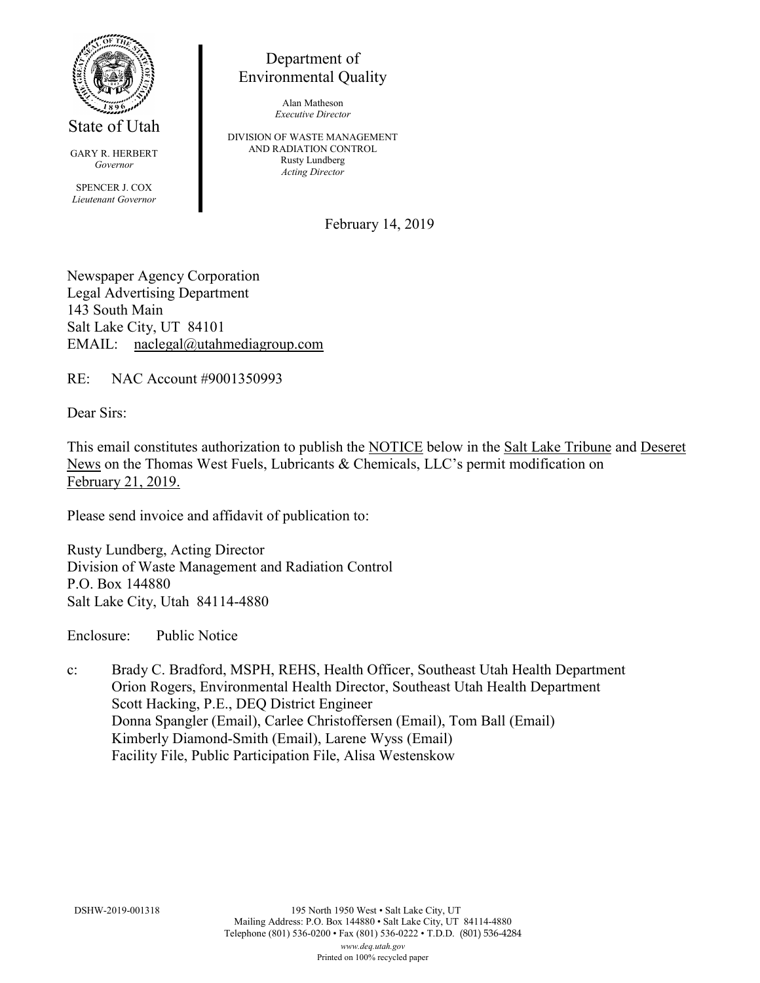

State of Utah

GARY R. HERBERT *Governor* SPENCER J. COX *Lieutenant Governor*

Department of Environmental Quality

> Alan Matheson *Executive Director*

DIVISION OF WASTE MANAGEMENT AND RADIATION CONTROL Rusty Lundberg *Acting Director*

February 14, 2019

Newspaper Agency Corporation Legal Advertising Department 143 South Main Salt Lake City, UT 84101 EMAIL: naclegal@utahmediagroup.com

RE: NAC Account #9001350993

Dear Sirs:

This email constitutes authorization to publish the NOTICE below in the Salt Lake Tribune and Deseret News on the Thomas West Fuels, Lubricants & Chemicals, LLC's permit modification on February 21, 2019.

Please send invoice and affidavit of publication to:

Rusty Lundberg, Acting Director Division of Waste Management and Radiation Control P.O. Box 144880 Salt Lake City, Utah 84114-4880

Enclosure: Public Notice

c: Brady C. Bradford, MSPH, REHS, Health Officer, Southeast Utah Health Department Orion Rogers, Environmental Health Director, Southeast Utah Health Department Scott Hacking, P.E., DEQ District Engineer Donna Spangler (Email), Carlee Christoffersen (Email), Tom Ball (Email) Kimberly Diamond-Smith (Email), Larene Wyss (Email) Facility File, Public Participation File, Alisa Westenskow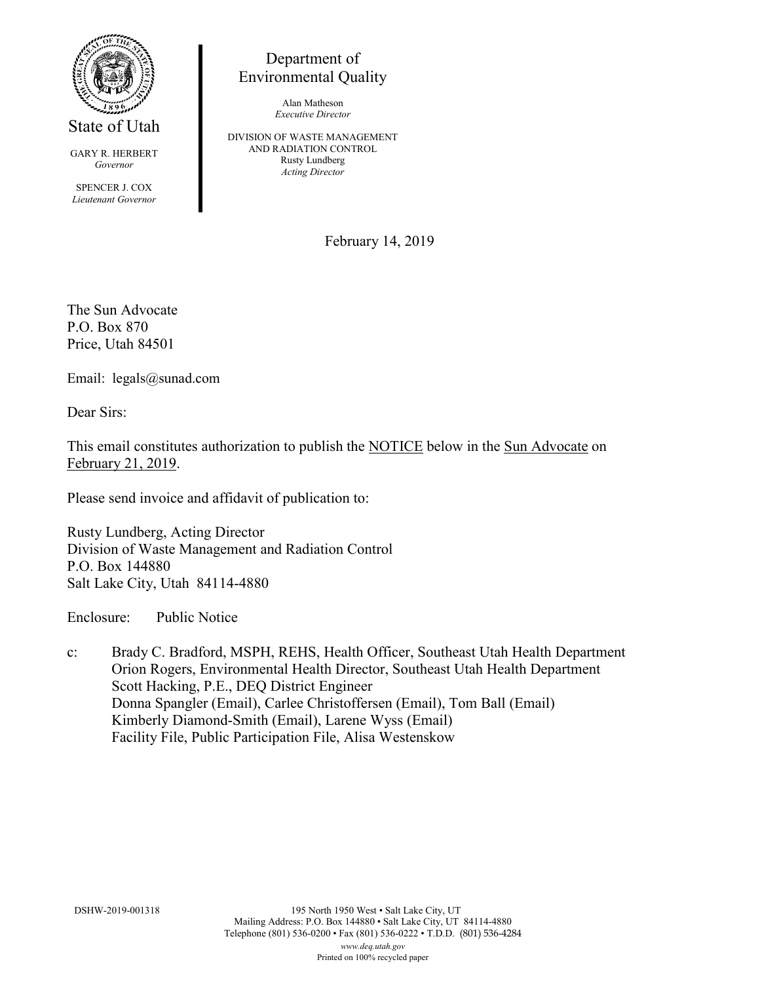

State of Utah

GARY R. HERBERT *Governor* SPENCER J. COX *Lieutenant Governor*

Department of Environmental Quality

> Alan Matheson *Executive Director*

DIVISION OF WASTE MANAGEMENT AND RADIATION CONTROL Rusty Lundberg *Acting Director*

February 14, 2019

The Sun Advocate P.O. Box 870 Price, Utah 84501

Email: legals@sunad.com

Dear Sirs:

This email constitutes authorization to publish the NOTICE below in the Sun Advocate on February 21, 2019.

Please send invoice and affidavit of publication to:

Rusty Lundberg, Acting Director Division of Waste Management and Radiation Control P.O. Box 144880 Salt Lake City, Utah 84114-4880

Enclosure: Public Notice

c: Brady C. Bradford, MSPH, REHS, Health Officer, Southeast Utah Health Department Orion Rogers, Environmental Health Director, Southeast Utah Health Department Scott Hacking, P.E., DEQ District Engineer Donna Spangler (Email), Carlee Christoffersen (Email), Tom Ball (Email) Kimberly Diamond-Smith (Email), Larene Wyss (Email) Facility File, Public Participation File, Alisa Westenskow